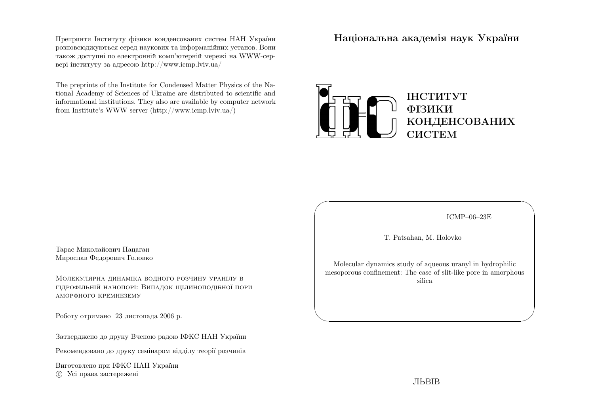Препринти Iнституту фiзики конденсованих систем НАН України розповсюджуються серед наукових та iнформацiйних установ. Вони також доступн<sup>i</sup> по електроннiй комп'ютернiй мереж<sup>i</sup> на WWW-сервер<sup>i</sup> iнституту за адресою http://www.icmp.lviv.ua/

The preprints of the Institute for Condensed Matter Physics of the National Academy of Sciences of Ukraine are distributed to scientific and informational institutions. They also are available by computer networkfrom Institute's WWW server (http://www.icmp.lviv.ua/)

Нацiональна академiя наук України



ICMP–06–23E

✩

 $\mathcal{S}$ 

T. Patsahan, M. Holovko

 $\sqrt{2}$ 

 $\setminus$ 

Molecular dynamics study of aqueous urany<sup>l</sup> in hydrophilic mesoporous confinement: The case of slit-like pore in amorphoussilica

Тарас Миколайович ПацаганМирослав Федорович Головко

Молекулярна динамiка водного розчину уранiлу <sup>в</sup> гiдрофiльнiй нанопорi: Випадок щiлиноподiбної пориаморфного кремнезему

Роботу отримано <sup>23</sup> листопада <sup>2006</sup> р.

Затверджено до друку Вченою радою IФКС НАН України

Рекомендовано до друку семiнаром вiддiлу теорiї розчинiв

Виготовлено при IФКС НАН Україниc Усi права застережен<sup>i</sup>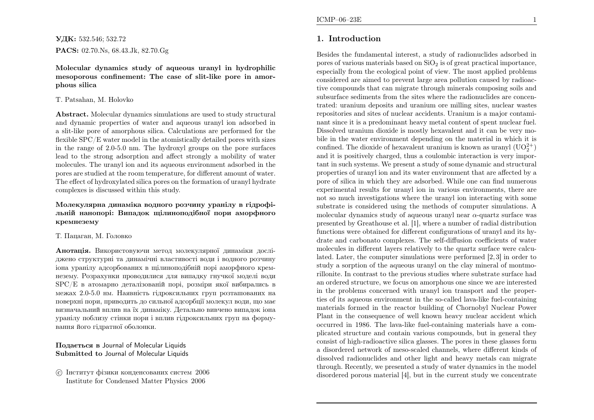УДК: 532.546; 532.72 $\mathbf{PACS:}\; 02.70.Ns,\,68.43.Jk,\,82.70.Gg$ 

Molecular dynamics study of aqueous urany<sup>l</sup> in hydrophilic mesoporous confinement: The case of slit-like pore in amor<sup>p</sup>hous silica

#### T. Patsahan, M. Holovko

Abstract. Molecular dynamics simulations are used to study structural and dynamic properties of water and aqueous urany<sup>l</sup> ion adsorbed in <sup>a</sup> slit-like pore of amorphous silica. Calculations are performed for theflexible  $\mathrm{SPC}/\mathrm{E}$  water model in the atomistically detailed pores with sizes in the range of 2.0-5.0 nm. The hydroxyl groups on the pore surfaces lead to the strong adsorption and affect strongly <sup>a</sup> mobility of water molecules. The urany<sup>l</sup> ion and its aqueous environment adsorbed in the pores are studied at the room temperature, for different amount of water. The effect of hydroxylated silica pores on the formation of urany<sup>l</sup> hydratecomplexes is discussed within this study.

#### Молекулярна динамiка водного розчину уранiлу <sup>в</sup> гiдрофiльнiй нанопорi: Випадок щiлиноподiбної пори аморфногокремнезему

## Т. Пацаган, М. Головко

**Анотація.** Використовуючи метод молекулярної динаміки досліджено структурн<sup>i</sup> та динамiчнi властивостi води <sup>i</sup> водного розчину iона уранiлу адсорбованих <sup>в</sup> щiлиноподiбнiй пор<sup>i</sup> аморфного кремнезему. Розрахунки проводилися для випадку гнучко<sup>ї</sup> моделi води SPC/E <sup>в</sup> атомарно деталiзованiй порi, розмiри якої вибирались <sup>в</sup> межах 2.0-5.0 нм. Наявнiсть гiдроксильних груп розташованих на поверхн<sup>i</sup> пори, приводить до сильної адсорбцiї молекул води, що має визначальний вплив на їх динамiку. Детально вивчено випадок iона уранiлу поблизу стiнки пори <sup>i</sup> вплив гiдроксильних груп на формування його гiдратної оболонки.

## Подається <sup>в</sup> Journal of Molecular Liquids Submitted to Journal of Molecular Liquids

 c Iнститут фiзики конденсованих систем <sup>2006</sup>Institute for Condensed Matter Physics <sup>2006</sup>

# 1. Introduction

Besides the fundamental interest, <sup>a</sup> study of radionuclides adsorbed inpores of various materials based on  $SiO<sub>2</sub>$  is of great practical importance, especially from the ecological point of view. The most applied problems considered are aimed to prevent large area pollution caused by radioactive compounds that can migrate through minerals composing soils and subsurface sediments from the sites where the radionuclides are concentrated: uranium deposits and uranium ore milling sites, nuclear wastes repositories and sites of nuclear accidents. Uranium is <sup>a</sup> major contaminant since it is <sup>a</sup> predominant heavy metal content of spent nuclear fuel. Dissolved uranium dioxide is mostly hexavalent and it can be very mobile in the water environment depending on the material in which it isconfined. The dioxide of hexavalent uranium is known as uranyl  $(\mathrm{UO}_2^{2+})$  and it is positively charged, thus <sup>a</sup> coulombic interaction is very important in such systems. We present <sup>a</sup> study of some dynamic and structural properties of urany<sup>l</sup> ion and its water environment that are affected by <sup>a</sup> pore of silica in which they are adsorbed. While one can find numerous experimental results for urany<sup>l</sup> ion in various environments, there are not so much investigations where the urany<sup>l</sup> ion interacting with some substrate is considered using the methods of computer simulations. <sup>A</sup>molecular dynamics study of aqueous uranyl near  $\alpha$ -quartz surface was presented by Greathouse et al. [1], where <sup>a</sup> number of radial distribution functions were obtained for different configurations of urany<sup>l</sup> and its hydrate and carbonato complexes. The self-diffusion coefficients of water molecules in different layers relatively to the quartz surface were calculated. Later, the computer simulations were performed [2, 3] in order to study <sup>a</sup> sorption of the aqueous urany<sup>l</sup> on the clay mineral of montmorillonite. In contrast to the previous studies where substrate surface had an ordered structure, we focus on amorphous one since we are interested in the problems concerned with urany<sup>l</sup> ion transport and the properties of its aqueous environment in the so-called lava-like fuel-containing materials formed in the reactor building of Chornobyl Nuclear Power Plant in the consequence of well known heavy nuclear accident which occurred in 1986. The lava-like fuel-containing materials have <sup>a</sup> com<sup>p</sup>licated structure and contain various compounds, but in genera<sup>l</sup> they consist of high-radioactive silica <sup>g</sup>lasses. The pores in these <sup>g</sup>lasses form <sup>a</sup> disordered network of meso-scaled channels, where different kinds of dissolved radionuclides and other light and heavy metals can migrate through. Recently, we presented <sup>a</sup> study of water dynamics in the model disordered porous material [4], but in the current study we concentrate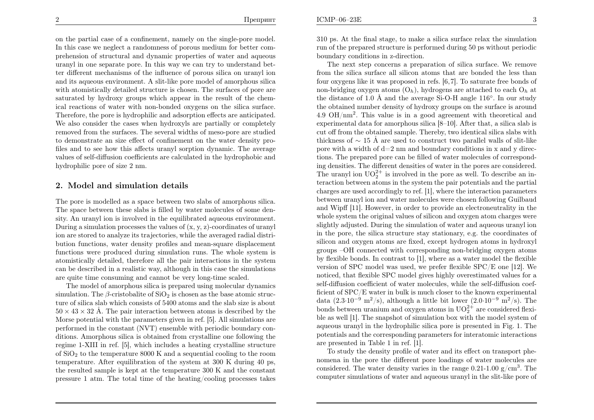on the partial case of <sup>a</sup> confinement, namely on the single-pore model. In this case we neglect <sup>a</sup> randomness of porous medium for better comprehension of structural and dynamic properties of water and aqueous urany<sup>l</sup> in one separate pore. In this way we can try to understand better different mechanisms of the influence of porous silica on urany<sup>l</sup> ion and its aqueous environment. <sup>A</sup> slit-like pore model of amorphous silica with atomistically detailed structure is chosen. The surfaces of pore are saturated by hydroxy groups which appear in the result of the chemical reactions of water with non-bonded oxygens on the silica surface. Therefore, the pore is hydrophilic and adsorption effects are anticipated. We also consider the cases when hydroxyls are partially or completely removed from the surfaces. The several widths of meso-pore are studied to demonstrate an size effect of confinement on the water density profiles and to see how this affects urany<sup>l</sup> sorption dynamic. The average values of self-diffusion coefficients are calculated in the hydrophobic andhydrophilic pore of size <sup>2</sup> nm.

## 2. Model and simulation details

The pore is modelled as <sup>a</sup> space between two slabs of amorphous silica. The space between these slabs is filled by water molecules of some density. An urany<sup>l</sup> ion is involved in the equilibrated aqueous environment. During <sup>a</sup> simulation processes the values of (x, y, z)-coordinates of urany<sup>l</sup> ion are stored to analyze its trajectories, while the averaged radial distribution functions, water density profiles and mean-square displacement functions were produced during simulation runs. The whole system is atomistically detailed, therefore all the pair interactions in the system can be described in <sup>a</sup> realistic way, although in this case the simulations are quite time consuming and cannot be very long-time scaled.

The model of amorphous silica is prepared using molecular dynamicssimulation. The  $\beta$ -cristobalite of SiO<sub>2</sub> is chosen as the base atomic struc ture of silica slab which consists of <sup>5400</sup> atoms and the slab size is about $50 \times 43 \times 32$  Å. The pair interaction between atoms is described by the Morse potential with the parameters <sup>g</sup>iven in ref. [5]. All simulations are performed in the constant (NVT) ensemble with periodic boundary conditions. Amorphous silica is obtained from crystalline one following the regime 1-XIII in ref. [5], which includes <sup>a</sup> heating crystalline structureof  $SiO<sub>2</sub>$  to the temperature 8000 K and a sequential cooling to the room temperature. After equilibration of the system at <sup>300</sup> <sup>K</sup> during <sup>40</sup> ps, the resulted sample is kept at the temperature <sup>300</sup> <sup>K</sup> and the constantpressure <sup>1</sup> atm. The total time of the heating/cooling processes takes

<sup>310</sup> ps. At the final stage, to make <sup>a</sup> silica surface relax the simulation run of the prepared structure is performed during <sup>50</sup> ps without periodicboundary conditions in z-direction.

The next step concerns <sup>a</sup> preparation of silica surface. We remove from the silica surface all silicon atoms that are bonded the less than four oxygens like it was proposed in refs. [6,7]. To saturate free bonds of non-bridging oxygen atoms  $(O_h)$ , hydrogens are attached to each  $O_h$  at the distance of 1.0 Å and the average Si-O-H angle 116 $^{\circ}$ . In our study the obtained number density of hydroxy groups on the surface is around4.9  $OH/nm<sup>2</sup>$ . This value is in a good agreement with theoretical and experimental data for amorphous silica [8–10]. After that, <sup>a</sup> silica slab is cut off from the obtained sample. Thereby, two identical silica slabs withthickness of  $\sim$  15 Å are used to construct two parallel walls of slit-like pore with a width of  $d=2$  nm and boundary conditions in x and y directions. The prepared pore can be filled of water molecules of corresponding densities. The different densities of water in the pores are considered. The uranyl ion  $UO_2^{2+}$  is involved in the pore as well. To describe an interaction between atoms in the system the pair potentials and the partial charges are used accordingly to ref. [1], where the interaction parameters between urany<sup>l</sup> ion and water molecules were chosen following Guilbaud and Wipff [11]. However, in order to provide an electroneutrality in the whole system the original values of silicon and oxygen atom charges were slightly adjusted. During the simulation of water and aqueous urany<sup>l</sup> ion in the pore, the silica structure stay stationary, e.g. the coordinates of silicon and oxygen atoms are fixed, except hydrogen atoms in hydroxyl groups –OH connected with corresponding non-bridging oxygen atoms by flexible bonds. In contrast to [1], where as <sup>a</sup> water model the flexible version of SPC model was used, we prefer flexible SPC/E one [12]. We noticed, that flexible SPC model <sup>g</sup>ives highly overestimated values for <sup>a</sup> self-diffusion coefficient of water molecules, while the self-diffusion coefficient of SPC/E water in bulk is much closer to the known experimental data (2.3·10<sup>-9</sup> m<sup>2</sup>/s), although a little bit lower (2.0·10<sup>-9</sup> m<sup>2</sup>/s). The bonds between uranium and oxygen atoms in  $UO_2^{2+}$  are considered flexible as well [1]. The snapshot of simulation box with the model system of aqueous urany<sup>l</sup> in the hydrophilic silica pore is presented in Fig. 1. The potentials and the corresponding parameters for interatomic interactionsare presented in Table <sup>1</sup> in ref. [1].

To study the density profile of water and its effect on transport <sup>p</sup>henomena in the pore the different pore loadings of water molecules areconsidered. The water density varies in the range  $0.21\times1.00$  g/cm<sup>3</sup>. The computer simulations of water and aqueous urany<sup>l</sup> in the slit-like pore of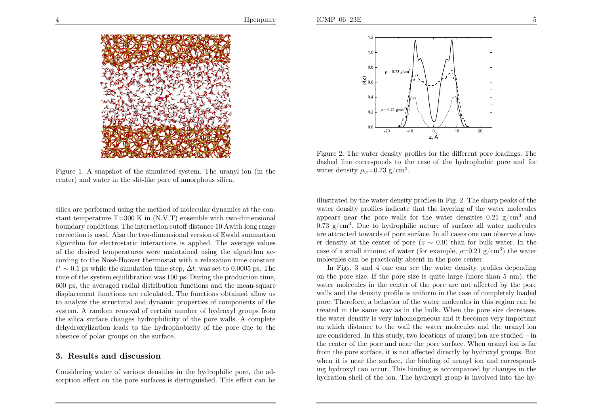

Figure 1. <sup>A</sup> snapshot of the simulated system. The urany<sup>l</sup> ion (in thecenter) and water in the slit-like pore of amorphous silica.

silica are performed using the method of molecular dynamics at the constant temperature  $T=300$  K in  $(N, V, T)$  ensemble with two-dimensional boundary conditions. The interaction cutoff distance  $10\,\mathrm{\AA}$  with long range correction is used. Also the two-dimensional version of Ewald summation algorithm for electrostatic interactions is applied. The average values of the desired temperatures were maintained using the algorithm according to the Nosé-Hoover thermostat with a relaxation time constant  $t^* \sim 0.1$  ps while the simulation time step,  $\Delta t$ , was set to 0.0005 ps. The time of the system equilibration was <sup>100</sup> ps. During the production time, <sup>600</sup> ps, the averaged radial distribution functions and the mean-square displacement functions are calculated. The functions obtained allow us to analyze the structural and dynamic properties of components of the system. <sup>A</sup> random removal of certain number of hydroxyl groups from the silica surface changes hydrophilicity of the pore walls. <sup>A</sup> complete dehydroxylization leads to the hydrophobicity of the pore due to theabsence of polar groups on the surface.

## 3. Results and discussion

Considering water of various densities in the hydrophilic pore, the adsorption effect on the pore surfaces is distinguished. This effect can be



Figure 2. The water density profiles for the different pore loadings. The dashed line corresponds to the case of the hydrophobic pore and forwater density  $\rho_w$ =0.73 g/cm<sup>3</sup>.

illustrated by the water density profiles in Fig. 2. The sharp peaks of the water density profiles indicate that the layering of the water moleculesappears near the pore walls for the water densities  $0.21 \text{ g/cm}^3$  and  $0.73 \text{ g/cm}^3$ . Due to hydrophilic nature of surface all water molecules are attracted towards of pore surface. In all cases one can observe <sup>a</sup> lower density at the center of pore  $(z \sim 0.0)$  than for bulk water. In the case of a small amount of water (for example,  $\rho=0.21$  g/cm<sup>3</sup>) the water molecules can be practically absent in the pore center.

In Figs. <sup>3</sup> and <sup>4</sup> one can see the water density profiles depending on the pore size. If the pore size is quite large (more than <sup>5</sup> nm), the water molecules in the center of the pore are not affected by the pore walls and the density profile is uniform in the case of completely loaded pore. Therefore, <sup>a</sup> behavior of the water molecules in this region can be treated in the same way as in the bulk. When the pore size decreases, the water density is very inhomogeneous and it becomes very important on which distance to the wall the water molecules and the urany<sup>l</sup> ion are considered. In this study, two locations of urany<sup>l</sup> ion are studied – in the center of the pore and near the pore surface. When urany<sup>l</sup> ion is far from the pore surface, it is not affected directly by hydroxyl groups. But when it is near the surface, the binding of urany<sup>l</sup> ion and corresponding hydroxyl can occur. This binding is accompanied by changes in thehydration shell of the ion. The hydroxyl group is involved into the hy-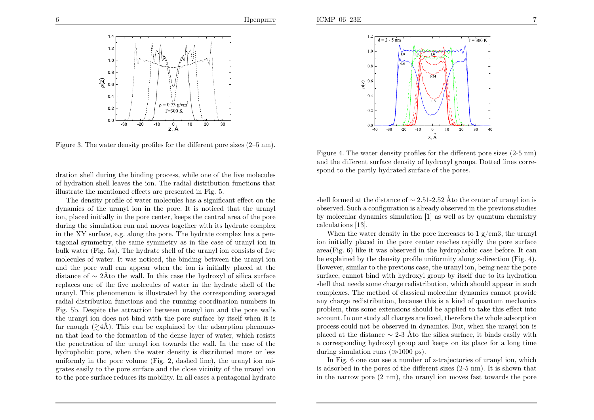

Figure 3. The water density profiles for the different pore sizes (2–5 nm).

dration shell during the binding process, while one of the five molecules of hydration shell leaves the ion. The radial distribution functions thatillustrate the mentioned effects are presented in Fig. 5.

The density profile of water molecules has <sup>a</sup> significant effect on the dynamics of the urany<sup>l</sup> ion in the pore. It is noticed that the urany<sup>l</sup> ion, <sup>p</sup>laced initially in the pore center, keeps the central area of the pore during the simulation run and moves together with its hydrate complex in the XY surface, e.g. along the pore. The hydrate complex has <sup>a</sup> pentagonal symmetry, the same symmetry as in the case of urany<sup>l</sup> ion in bulk water (Fig. 5a). The hydrate shell of the urany<sup>l</sup> ion consists of five molecules of water. It was noticed, the binding between the urany<sup>l</sup> ion and the pore wall can appear when the ion is initially <sup>p</sup>laced at thedistance of  $\sim 2\text{\AA}$  to the wall. In this case the hydroxyl of silica surface replaces one of the five molecules of water in the hydrate shell of the uranyl. This <sup>p</sup>henomenon is illustrated by the corresponding averaged radial distribution functions and the running coordination numbers in Fig. 5b. Despite the attraction between urany<sup>l</sup> ion and the pore walls the urany<sup>l</sup> ion does not bind with the pore surface by itself when it isfar enough  $(\geq 4\AA)$ . This can be explained by the adsorption phenome- na that lead to the formation of the dense layer of water, which resists the penetration of the urany<sup>l</sup> ion towards the wall. In the case of the hydrophobic pore, when the water density is distributed more or less uniformly in the pore volume (Fig. 2, dashed line), the urany<sup>l</sup> ion migrates easily to the pore surface and the close vicinity of the urany<sup>l</sup> ionto the pore surface reduces its mobility. In all cases <sup>a</sup> pentagonal hydrate



Figure 4. The water density profiles for the different pore sizes (2-5 nm) and the different surface density of hydroxyl groups. Dotted lines correspond to the partly hydrated surface of the pores.

shell formed at the distance of  $\sim 2.51$ -2.52 Åto the center of uranyl ion is observed. Such <sup>a</sup> configuration is already observed in the previous studies by molecular dynamics simulation [1] as well as by quantum chemistrycalculations [13].

When the water density in the pore increases to  $1 \text{ g/cm}3$ , the uranyl ion initially <sup>p</sup>laced in the pore center reaches rapidly the pore surface area(Fig. 6) like it was observed in the hydrophobic case before. It can be explained by the density profile uniformity along z-direction (Fig. 4). However, similar to the previous case, the urany<sup>l</sup> ion, being near the pore surface, cannot bind with hydroxyl group by itself due to its hydration shell that needs some charge redistribution, which should appear in such complexes. The method of classical molecular dynamics cannot provideany charge redistribution, because this is a kind of quantum mechanics problem, thus some extensions should be applied to take this effect into account. In our study all charges are fixed, therefore the whole adsorption process could not be observed in dynamics. But, when the urany<sup>l</sup> ion isplaced at the distance  $\sim$  2-3 Åto the silica surface, it binds easily with <sup>a</sup> corresponding hydroxyl group and keeps on its <sup>p</sup>lace for <sup>a</sup> long timeduring simulation runs  $(\gg 1000 \text{ ps})$ .

In Fig. <sup>6</sup> one can see <sup>a</sup> number of z-trajectories of urany<sup>l</sup> ion, which is adsorbed in the pores of the different sizes (2-5 nm). It is shown thatin the narrow pore (2 nm), the urany<sup>l</sup> ion moves fast towards the pore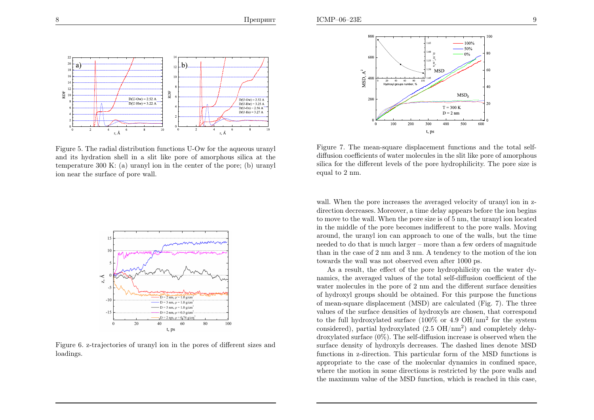

Figure 5. The radial distribution functions U-Ow for the aqueous urany<sup>l</sup> and its hydration shell in <sup>a</sup> slit like pore of amorphous silica at the temperature <sup>300</sup> K: (a) urany<sup>l</sup> ion in the center of the pore; (b) urany<sup>l</sup> ion near the surface of pore wall.



Figure 6. z-trajectories of urany<sup>l</sup> ion in the pores of different sizes andloadings.



Figure 7. The mean-square displacement functions and the total selfdiffusion coefficients of water molecules in the slit like pore of amorphous silica for the different levels of the pore hydrophilicity. The pore size isequa<sup>l</sup> to <sup>2</sup> nm.

wall. When the pore increases the averaged velocity of uranyl ion in zdirection decreases. Moreover, <sup>a</sup> time delay appears before the ion begins to move to the wall. When the pore size is of <sup>5</sup> nm, the urany<sup>l</sup> ion located in the middle of the pore becomes indifferent to the pore walls. Moving around, the urany<sup>l</sup> ion can approac<sup>h</sup> to one of the walls, but the time needed to do that is much larger – more than <sup>a</sup> few orders of magnitude than in the case of <sup>2</sup> nm and <sup>3</sup> nm. <sup>A</sup> tendency to the motion of the iontowards the wall was not observed even after <sup>1000</sup> ps.

As <sup>a</sup> result, the effect of the pore hydrophilicity on the water dynamics, the averaged values of the total self-diffusion coefficient of the water molecules in the pore of <sup>2</sup> nm and the different surface densities of hydroxyl groups should be obtained. For this purpose the functions of mean-square displacement (MSD) are calculated (Fig. 7). The three values of the surface densities of hydroxyls are chosen, that correspondto the full hydroxylated surface  $(100\% \text{ or } 4.9 \text{ OH/nm}^2 \text{ for the system})$ considered), partial hydroxylated  $(2.5 \text{ OH/nm}^2)$  and completely dehydroxylated surface (0%). The self-diffusion increase is observed when the surface density of hydroxyls decreases. The dashed lines denote MSD functions in z-direction. This particular form of the MSD functions is appropriate to the case of the molecular dynamics in confined space, where the motion in some directions is restricted by the pore walls andthe maximum value of the MSD function, which is reached in this case,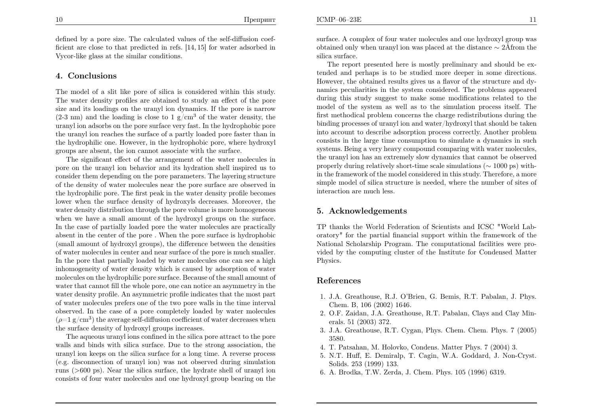defined by <sup>a</sup> pore size. The calculated values of the self-diffusion coefficient are close to that predicted in refs. [14, 15] for water adsorbed inVycor-like <sup>g</sup>lass at the similar conditions.

## 4. Conclusions

The model of <sup>a</sup> slit like pore of silica is considered within this study. The water density profiles are obtained to study an effect of the pore size and its loadings on the urany<sup>l</sup> ion dynamics. If the pore is narrow $(2-3 \text{ nm})$  and the loading is close to  $1 \text{ g/cm}^3$  of the water density, the urany<sup>l</sup> ion adsorbs on the pore surface very fast. In the hydrophobic pore the urany<sup>l</sup> ion reaches the surface of <sup>a</sup> partly loaded pore faster than in the hydrophilic one. However, in the hydrophobic pore, where hydroxyl groups are absent, the ion cannot associate with the surface.

The significant effect of the arrangement of the water molecules in pore on the urany<sup>l</sup> ion behavior and its hydration shell inspired us to consider them depending on the pore parameters. The layering structure of the density of water molecules near the pore surface are observed in the hydrophilic pore. The first pea<sup>k</sup> in the water density profile becomes lower when the surface density of hydroxyls decreases. Moreover, the water density distribution through the pore volume is more homogeneous when we have <sup>a</sup> small amount of the hydroxyl groups on the surface. In the case of partially loaded pore the water molecules are practically absent in the center of the pore . When the pore surface is hydrophobic (small amount of hydroxyl groups), the difference between the densities of water molecules in center and near surface of the pore is much smaller. In the pore that partially loaded by water molecules one can see <sup>a</sup> high inhomogeneity of water density which is caused by adsorption of water molecules on the hydrophilic pore surface. Because of the small amount of water that cannot fill the whole pore, one can notice an asymmetry in the water density profile. An asymmetric profile indicates that the most part of water molecules prefers one of the two pore walls in the time interval observed. In the case of <sup>a</sup> pore completely loaded by water molecules $(\rho\text{=}1\ \text{g}/\text{cm}^3)$  the average self-diffusion coefficient of water decreases when the surface density of hydroxyl groups increases.

The aqueous urany<sup>l</sup> ions confined in the silica pore attract to the pore walls and binds with silica surface. Due to the strong association, the urany<sup>l</sup> ion keeps on the silica surface for <sup>a</sup> long time. <sup>A</sup> reverse process (e.g. disconnection of urany<sup>l</sup> ion) was not observed during simulation runs (<sup>&</sup>gt;<sup>600</sup> ps). Near the silica surface, the hydrate shell of urany<sup>l</sup> ionconsists of four water molecules and one hydroxyl group bearing on the

surface. <sup>A</sup> complex of four water molecules and one hydroxyl group wasobtained only when uranyl ion was placed at the distance  $\sim 2\text{\AA}$ from the silica surface.

The report presented here is mostly preliminary and should be extended and perhaps is to be studied more deeper in some directions. However, the obtained results <sup>g</sup>ives us <sup>a</sup> flavor of the structure and dynamics peculiarities in the system considered. The problems appeared during this study suggest to make some modifications related to the model of the system as well as to the simulation process itself. The first methodical problem concerns the charge redistributions during the binding processes of urany<sup>l</sup> ion and water/hydroxyl that should be taken into account to describe adsorption process correctly. Another problem consists in the large time consumption to simulate <sup>a</sup> dynamics in such systems. Being <sup>a</sup> very heavy compound comparing with water molecules, the urany<sup>l</sup> ion has an extremely slow dynamics that cannot be observedproperly during relatively short-time scale simulations ( $\sim 1000$  ps) with in the framework of the model considered in this study. Therefore, <sup>a</sup> more simple model of silica structure is needed, where the number of sites of interaction are much less.

## 5. Acknowledgements

TP thanks the World Federation of Scientists and ICSC "World Laboratory" for the partial financial support within the framework of the National Scholarship Program. The computational facilities were provided by the computing cluster of the Institute for Condensed MatterPhysics.

### References

- 1. J.A. Greathouse, R.J. O'Brien, G. Bemis, R.T. Pabalan, J. Phys. Chem. B, <sup>106</sup> (2002) 1646.
- 2. O.F. Zaidan, J.A. Greathouse, R.T. Pabalan, Clays and Clay Minerals. <sup>51</sup> (2003) 372.
- 3. J.A. Greathouse, R.T. Cygan, Phys. Chem. Chem. Phys. <sup>7</sup> (2005)3580.
- 4. T. Patsahan, M. Holovko, Condens. Matter Phys. <sup>7</sup> (2004) 3.
- 5. N.T. Huff, E. Demiralp, T. Cagin, W.A. Goddard, J. Non-Cryst. Solids. <sup>253</sup> (1999) 133.
- 6. A. Brodka, T.W. Zerda, J. Chem. Phys. <sup>105</sup> (1996) 6319.